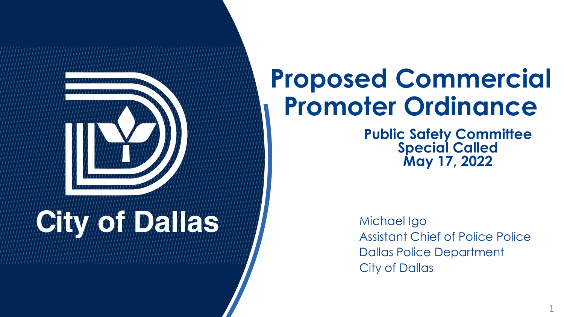

# **OTAY MORT DEVICE**

#### **Proposed Commercial Promoter Ordinance**

**Public Safety Committee Special Called May 17, 2022**

Michael Igo Assistant Chief of Police Police Dallas Police Department City of Dallas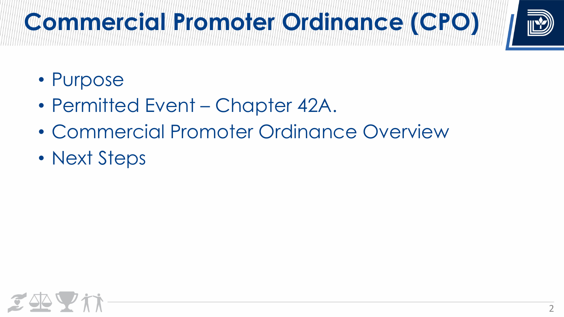# **Commercicion Promotis III Propiso de La Campanación de La Com**



- Purpose
- Permitted Event Chapter 42A.
- Commercial Promoter Ordinance Overview
- Next Steps

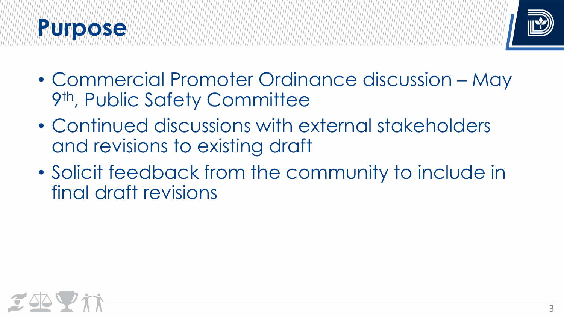### **Prunotose**



- Commercial Promoter Ordinance discussion May 9th, Public Safety Committee
- Continued discussions with external stakeholders and revisions to existing draft
- Solicit feedback from the community to include in final draft revisions

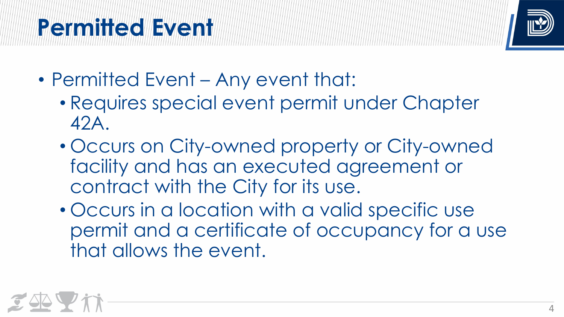### **Plening Hitler Colley Crit**



- Permitted Event Any event that:
	- Requires special event permit under Chapter 42A.
	- Occurs on City-owned property or City-owned facility and has an executed agreement or contract with the City for its use.
	- Occurs in a location with a valid specific use permit and a certificate of occupancy for a use that allows the event.

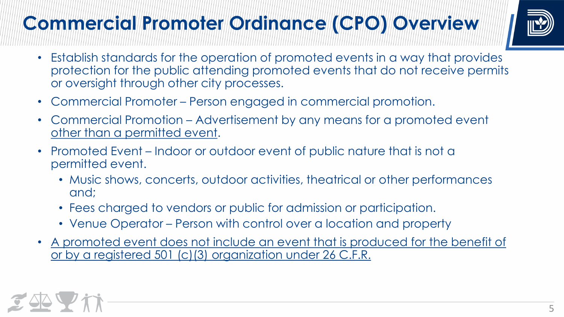#### **Commercial Promoter Ordinance (CPO) Overview**



- Establish standards for the operation of promoted events in a way that provides protection for the public attending promoted events that do not receive permits or oversight through other city processes.
- Commercial Promoter Person engaged in commercial promotion.
- Commercial Promotion Advertisement by any means for a promoted event other than a permitted event.
- Promoted Event Indoor or outdoor event of public nature that is not a permitted event.
	- Music shows, concerts, outdoor activities, theatrical or other performances and;
	- Fees charged to vendors or public for admission or participation.
	- Venue Operator Person with control over a location and property
- A promoted event does not include an event that is produced for the benefit of or by a registered 501 (c)(3) organization under 26 C.F.R.

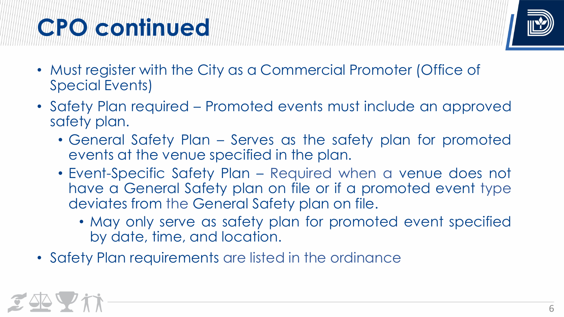## **COUR OF CONTINUES OF**



- Must register with the City as a Commercial Promoter (Office of Special Events)
- Safety Plan required Promoted events must include an approved safety plan.
	- General Safety Plan Serves as the safety plan for promoted events at the venue specified in the plan.
	- Event-Specific Safety Plan Required when a venue does not have a General Safety plan on file or if a promoted event type deviates from the General Safety plan on file.
		- May only serve as safety plan for promoted event specified by date, time, and location.
- Safety Plan requirements are listed in the ordinance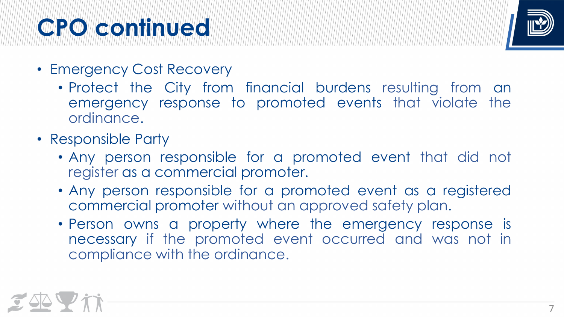### **COURLEY CONTINUES CONTINUES CONTINUES CONTINUES CONTINUES CONTINUES CONTINUES CONTINUES CONTINUES CONTINUES CO**



- Emergency Cost Recovery
	- Protect the City from financial burdens resulting from an emergency response to promoted events that violate the ordinance.
- Responsible Party
	- Any person responsible for a promoted event that did not register as a commercial promoter.
	- Any person responsible for a promoted event as a registered commercial promoter without an approved safety plan.
	- Person owns a property where the emergency response is necessary if the promoted event occurred and was not in compliance with the ordinance.

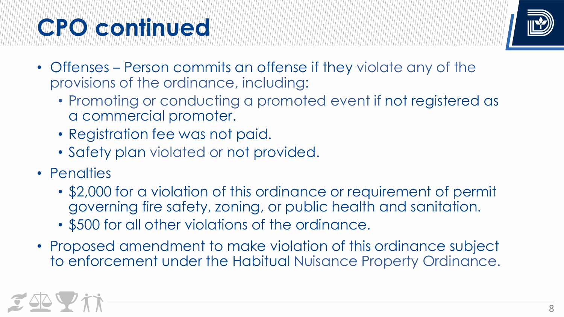## **COURLEY CONTINUES CONTINUES CONTINUES CONTINUES CONTINUES CONTINUES CONTINUES CONTINUES CONTINUES CONTINUES CO**



- Offenses Person commits an offense if they violate any of the provisions of the ordinance, including:
	- Promoting or conducting a promoted event if not registered as a commercial promoter.
	- Registration fee was not paid.
	- Safety plan violated or not provided.
- Penalties
	- \$2,000 for a violation of this ordinance or requirement of permit governing fire safety, zoning, or public health and sanitation.
	- \$500 for all other violations of the ordinance.
- Proposed amendment to make violation of this ordinance subject to enforcement under the Habitual Nuisance Property Ordinance.

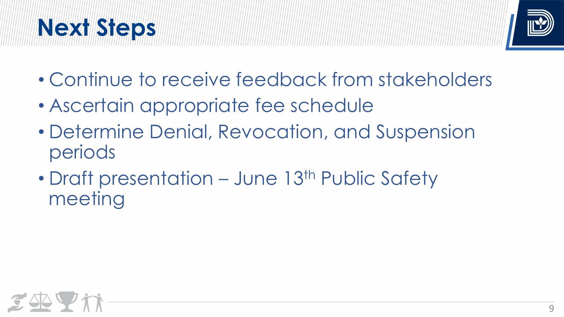### **Next Steps**



- Continue to receive feedback from stakeholders
- Ascertain appropriate fee schedule
- Determine Denial, Revocation, and Suspension periods
- Draft presentation June 13<sup>th</sup> Public Safety meeting